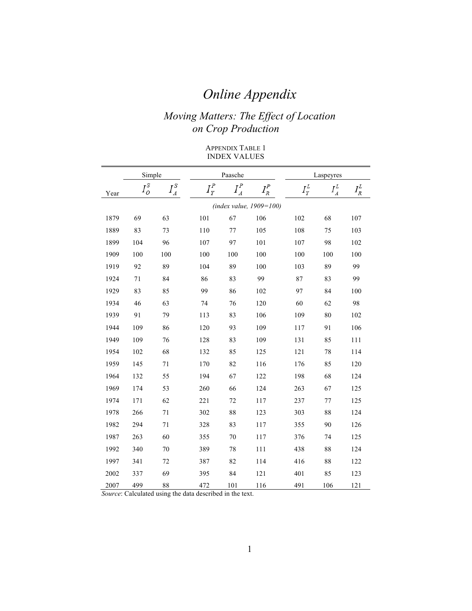# *Online Appendix*

## *Moving Matters: The Effect of Location on Crop Production*

#### APPENDIX TABLE 1 INDEX VALUES

|                         | Simple                |                     |                               | Paasche   |         |                  | Laspeyres                    |         |  |
|-------------------------|-----------------------|---------------------|-------------------------------|-----------|---------|------------------|------------------------------|---------|--|
| Year                    | $I_{\mathcal{O}}^{S}$ | $I_A^{\mathcal{S}}$ | $I^{\textit{P}}_{\textit{Y}}$ | $I^P_{A}$ | $I_R^P$ | $I^L_{\text{Y}}$ | $I^L_{\scriptscriptstyle A}$ | $I_R^L$ |  |
| (index value, 1909=100) |                       |                     |                               |           |         |                  |                              |         |  |
| 1879                    | 69                    | 63                  | 101                           | 67        | 106     | 102              | 68                           | 107     |  |
| 1889                    | 83                    | 73                  | 110                           | 77        | 105     | 108              | 75                           | 103     |  |
| 1899                    | 104                   | 96                  | 107                           | 97        | 101     | 107              | 98                           | 102     |  |
| 1909                    | 100                   | 100                 | 100                           | 100       | 100     | 100              | 100                          | 100     |  |
| 1919                    | 92                    | 89                  | 104                           | 89        | 100     | 103              | 89                           | 99      |  |
| 1924                    | 71                    | 84                  | 86                            | 83        | 99      | 87               | 83                           | 99      |  |
| 1929                    | 83                    | 85                  | 99                            | 86        | 102     | 97               | 84                           | 100     |  |
| 1934                    | 46                    | 63                  | 74                            | 76        | 120     | 60               | 62                           | 98      |  |
| 1939                    | 91                    | 79                  | 113                           | 83        | 106     | 109              | 80                           | 102     |  |
| 1944                    | 109                   | 86                  | 120                           | 93        | 109     | 117              | 91                           | 106     |  |
| 1949                    | 109                   | 76                  | 128                           | 83        | 109     | 131              | 85                           | 111     |  |
| 1954                    | 102                   | 68                  | 132                           | 85        | 125     | 121              | 78                           | 114     |  |
| 1959                    | 145                   | 71                  | 170                           | 82        | 116     | 176              | 85                           | 120     |  |
| 1964                    | 132                   | 55                  | 194                           | 67        | 122     | 198              | 68                           | 124     |  |
| 1969                    | 174                   | 53                  | 260                           | 66        | 124     | 263              | 67                           | 125     |  |
| 1974                    | 171                   | 62                  | 221                           | 72        | 117     | 237              | 77                           | 125     |  |
| 1978                    | 266                   | 71                  | 302                           | 88        | 123     | 303              | 88                           | 124     |  |
| 1982                    | 294                   | 71                  | 328                           | 83        | 117     | 355              | 90                           | 126     |  |
| 1987                    | 263                   | 60                  | 355                           | 70        | 117     | 376              | 74                           | 125     |  |
| 1992                    | 340                   | 70                  | 389                           | 78        | 111     | 438              | 88                           | 124     |  |
| 1997                    | 341                   | 72                  | 387                           | 82        | 114     | 416              | 88                           | 122     |  |
| 2002                    | 337                   | 69                  | 395                           | 84        | 121     | 401              | 85                           | 123     |  |
| 2007                    | 499                   | 88                  | 472                           | 101       | 116     | 491              | 106                          | 121     |  |

*Source*: Calculated using the data described in the text.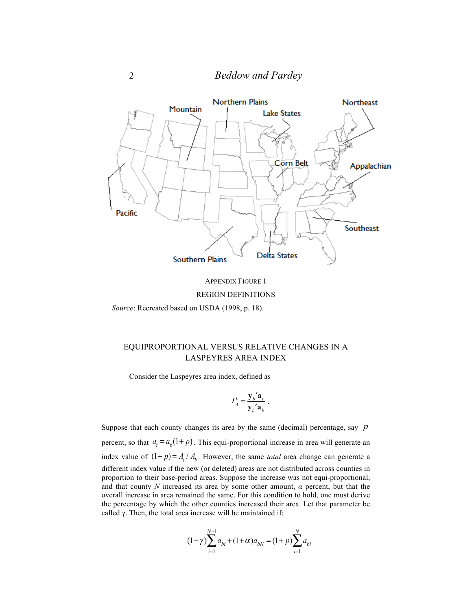

APPENDIX FIGURE 1 REGION DEFINITIONS

*Source*: Recreated based on USDA (1998, p. 18).

#### EQUIPROPORTIONAL VERSUS RELATIVE CHANGES IN A LASPEYRES AREA INDEX

Consider the Laspeyres area index, defined as

$$
I_A^L = \frac{{\mathbf{y}_b}' \mathbf{a}_t}{\mathbf{y}_b' \mathbf{a}_b}
$$

.

Suppose that each county changes its area by the same (decimal) percentage, say *p* percent, so that  $a_t = a_b(1+p)$ . This equi-proportional increase in area will generate an index value of  $(1+p) = A_t / A_b$ . However, the same *total* area change can generate a different index value if the new (or deleted) areas are not distributed across counties in proportion to their base-period areas. Suppose the increase was not equi-proportional, and that county *N* increased its area by some other amount,  $\alpha$  percent, but that the overall increase in area remained the same. For this condition to hold, one must derive the percentage by which the other counties increased their area. Let that parameter be called  $\gamma$ . Then, the total area increase will be maintained if:

$$
(1+\gamma)\sum_{i=1}^{N-1} a_{bi} + (1+\alpha)a_{bN} = (1+p)\sum_{i=1}^{N} a_{bi}
$$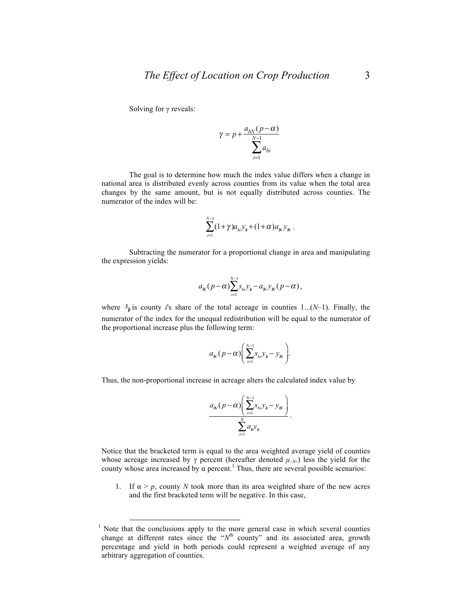Solving for γ reveals:

$$
\gamma = p + \frac{a_{bN}(p - \alpha)}{\sum_{i=1}^{N-1} a_{bi}}
$$

The goal is to determine how much the index value differs when a change in national area is distributed evenly across counties from its value when the total area changes by the same amount, but is not equally distributed across counties. The numerator of the index will be:

$$
\sum_{i=1}^{N-1} (1+\gamma) a_{bi} y_{b} + (1+\alpha) a_{bi} y_{bi}.
$$

Subtracting the numerator for a proportional change in area and manipulating the expression yields:

$$
a_{W}(p-\alpha)\sum_{i=1}^{N-1} s_{bi}y_{b} - a_{W}y_{W}(p-\alpha),
$$

where  $S_h$  is county *i*'s share of the total acreage in counties 1...(*N*-1). Finally, the numerator of the index for the unequal redistribution will be equal to the numerator of the proportional increase plus the following term:

$$
a_{W}(p-\alpha)\left(\sum_{i=1}^{N-1}S_{bi}\mathcal{Y}_{b}-\mathcal{Y}_{W}\right).
$$

Thus, the non-proportional increase in acreage alters the calculated index value by

$$
\frac{a_{N}(p-\alpha)\left(\sum_{i=1}^{N-1}S_{bi}\mathcal{Y}_{b}-\mathcal{Y}_{N}\right)}{\sum_{i=1}^{N}a_{b}\mathcal{Y}_{b}}.
$$

Notice that the bracketed term is equal to the area weighted average yield of counties whose acreage increased by  $\gamma$  percent (hereafter denoted  $\mu_{-N}$ ) less the yield for the county whose area increased by  $\alpha$  percent.<sup>1</sup> Thus, there are several possible scenarios:

1. If  $\alpha > p$ , county *N* took more than its area weighted share of the new acres and the first bracketed term will be negative. In this case,

 $1$  Note that the conclusions apply to the more general case in which several counties change at different rates since the "*N*<sup>th</sup> county" and its associated area, growth percentage and yield in both periods could represent a weighted average of any arbitrary aggregation of counties.